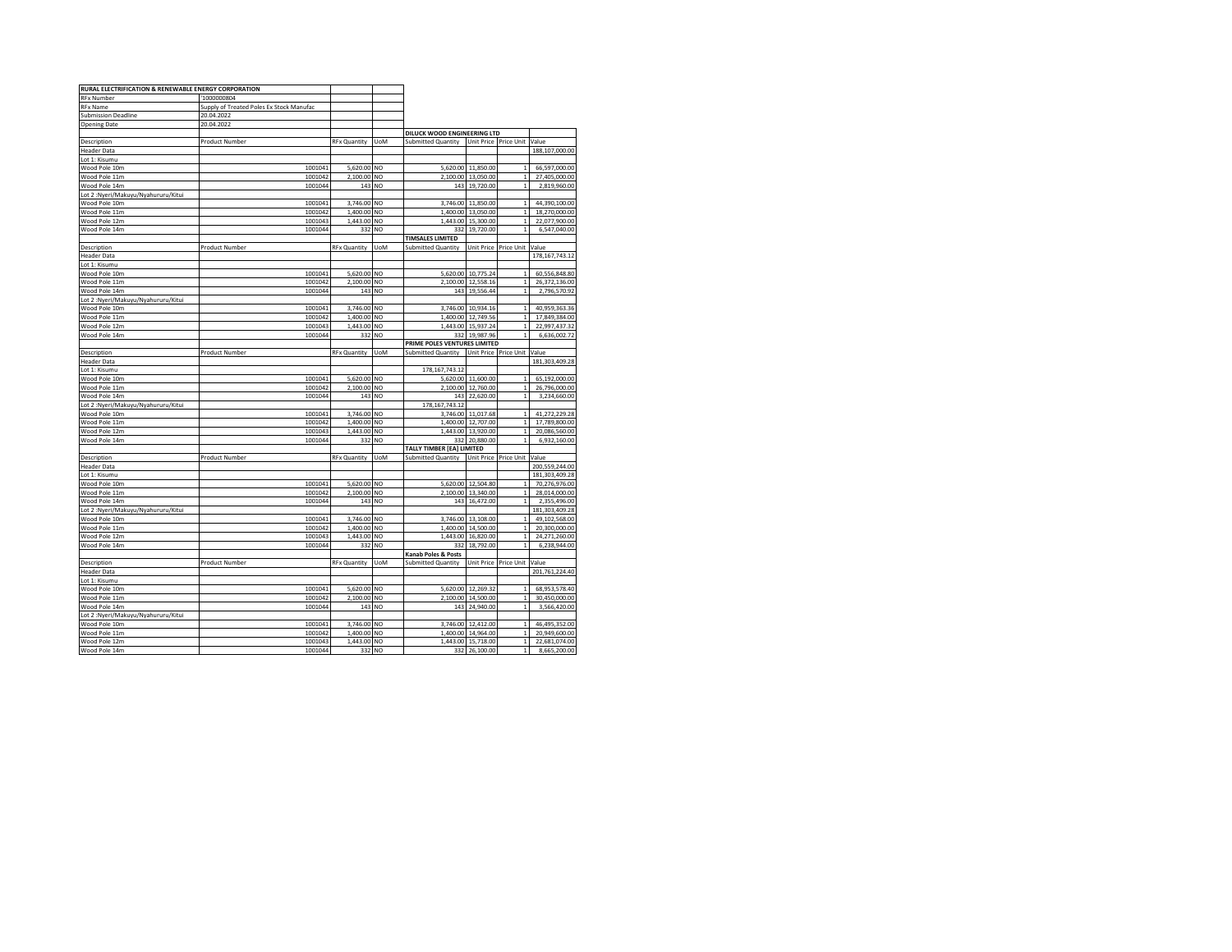| RURAL ELECTRIFICATION & RENEWABLE ENERGY CORPORATION |                                          |                     |                |                              |                                 |                              |                                |
|------------------------------------------------------|------------------------------------------|---------------------|----------------|------------------------------|---------------------------------|------------------------------|--------------------------------|
| <b>RFx Number</b>                                    | '1000000804                              |                     |                |                              |                                 |                              |                                |
| <b>RFx Name</b>                                      | Supply of Treated Poles Ex Stock Manufac |                     |                |                              |                                 |                              |                                |
| <b>Submission Deadline</b>                           | 20.04.2022                               |                     |                |                              |                                 |                              |                                |
| <b>Opening Date</b>                                  | 20.04.2022                               |                     |                |                              |                                 |                              |                                |
|                                                      |                                          |                     |                | DILUCK WOOD ENGINEERING LTD  |                                 |                              |                                |
| Description                                          | Product Number                           | <b>RFx Quantity</b> | <b>UoM</b>     | <b>Submitted Quantity</b>    | Unit Price Price Unit           |                              | Value                          |
| <b>Header Data</b>                                   |                                          |                     |                |                              |                                 |                              | 188.107.000.00                 |
| Lot 1: Kisumu                                        |                                          |                     |                |                              |                                 |                              |                                |
| Wood Pole 10m                                        | 1001041                                  | 5,620.00            | <b>NO</b>      | 5,620.00                     | 11,850.00                       | $\mathbf{1}$                 | 66,597,000.00                  |
| Wood Pole 11m                                        | 1001042                                  | 2,100.00            | N <sub>O</sub> | 2,100.00                     | 13,050.00                       | $\mathbf 1$                  | 27,405,000.00                  |
| Wood Pole 14m                                        | 1001044                                  | 143 NO              |                | 143                          | 19,720.00                       | $\mathbf{1}$                 | 2,819,960.00                   |
| Lot 2: Nyeri/Makuyu/Nyahururu/Kitui                  |                                          |                     |                |                              |                                 |                              |                                |
| Wood Pole 10m                                        | 1001041                                  | 3,746.00            | N <sub>O</sub> | 3,746.00                     | 11,850.00                       | $\mathbf{1}$                 | 44,390,100.00                  |
| Wood Pole 11m                                        | 1001042                                  | 1,400.00            | NO             | 1,400.00                     | 13,050.00                       | $\mathbf{1}$                 | 18,270,000.00                  |
| Wood Pole 12m                                        | 1001043                                  | 1,443.00            | <b>NO</b>      | 1,443.00                     | 15,300.00                       | $\mathbf{1}$                 | 22,077,900.00                  |
| Wood Pole 14m                                        | 1001044                                  | 332                 | NO             | 332                          | 19,720.00                       | $\mathbf{1}$                 | 6,547,040.00                   |
|                                                      |                                          |                     |                | <b>TIMSALES LIMITED</b>      |                                 |                              |                                |
| Description                                          | Product Number                           | <b>RFx Quantity</b> | <b>UoM</b>     | <b>Submitted Quantity</b>    |                                 | Unit Price Price Unit        | Value                          |
| <b>Header Data</b>                                   |                                          |                     |                |                              |                                 |                              | 178, 167, 743. 12              |
| Lot 1: Kisumu                                        |                                          |                     |                |                              |                                 |                              |                                |
| Wood Pole 10m                                        | 1001041                                  | 5,620.00            | N <sub>O</sub> | 5,620.00                     | 10,775.24                       | $\mathbf{1}$                 | 60,556,848.80                  |
| Wood Pole 11m                                        | 1001042                                  | 2,100.00            | N <sub>O</sub> | 2,100.00                     | 12,558.16                       | $\mathbf{1}$                 | 26,372,136.00                  |
| Wood Pole 14m                                        | 1001044                                  | 143                 | <b>NO</b>      | 143                          | 19,556.44                       | $\mathbf{1}$                 | 2,796,570.92                   |
| Lot 2:Nyeri/Makuyu/Nyahururu/Kitui                   |                                          |                     |                |                              |                                 |                              |                                |
| Wood Pole 10m                                        | 1001041                                  | 3,746.00            | N <sub>O</sub> | 3,746.00                     | 10,934.16                       | $\mathbf{1}$                 | 40,959,363.36                  |
| Wood Pole 11m                                        | 1001042                                  | 1,400.00            | N <sub>O</sub> | 1,400.00                     | 12,749.56                       | $\mathbf{1}$                 | 17,849,384.00                  |
| Wood Pole 12m                                        | 1001043                                  | 1.443.00            | NO             | 1.443.00                     | 15.937.24                       | $\mathbf{1}$                 | 22.997.437.32                  |
| Wood Pole 14m                                        | 1001044                                  | 332                 | <b>NO</b>      | 332                          | 19,987.96                       | $\mathbf{1}$                 | 6,636,002.72                   |
|                                                      |                                          |                     |                | PRIME POLES VENTURES LIMITED |                                 |                              |                                |
| Description                                          | Product Number                           | <b>RFx Quantity</b> | <b>UoM</b>     | Submitted Quantity           | Unit Price Price Unit           |                              | Value                          |
| <b>Header Data</b>                                   |                                          |                     |                |                              |                                 |                              | 181,303,409.28                 |
| Lot 1: Kisumu                                        |                                          |                     |                | 178, 167, 743. 12            |                                 |                              |                                |
| Wood Pole 10m                                        | 1001041                                  | 5,620.00            | N <sub>O</sub> | 5,620.00                     | 11,600.00                       | $\mathbf{1}$                 | 65,192,000.00                  |
| Wood Pole 11m                                        | 1001042                                  | 2,100.00            | <b>NO</b>      | 2.100.00                     | 12,760.00                       | $\mathbf{1}$                 | 26,796,000.00                  |
| Wood Pole 14m                                        | 1001044                                  | 143                 | NO             | 143                          | 22,620.00                       | $\mathbf{1}$                 | 3,234,660.00                   |
| Lot 2:Nyeri/Makuyu/Nyahururu/Kitui                   |                                          |                     |                | 178, 167, 743. 12            |                                 |                              |                                |
| Wood Pole 10m                                        | 1001041                                  | 3,746.00            | N <sub>O</sub> | 3,746.00                     | 11,017.68                       | $\mathbf{1}$                 | 41,272,229.28                  |
| Wood Pole 11m                                        | 1001042                                  | 1,400.00 NO         |                |                              | 1,400.00 12,707.00              | 1                            | 17,789,800.00                  |
| Wood Pole 12m                                        | 1001043                                  | 1,443.00            | N <sub>O</sub> |                              | 1.443.00 13.920.00              | $\mathbf{1}$                 | 20,086,560.00                  |
| Wood Pole 14m                                        | 1001044                                  | 332                 | NO             | 332                          | 20,880.00                       | $\mathbf{1}$                 | 6,932,160.00                   |
|                                                      |                                          |                     |                | TALLY TIMBER [EA] LIMITED    |                                 |                              |                                |
| Description                                          | Product Number                           | <b>RFx Quantity</b> | <b>UoM</b>     | <b>Submitted Quantity</b>    | Unit Price Price Unit           |                              | Value                          |
| <b>Header Data</b>                                   |                                          |                     |                |                              |                                 |                              | 200,559,244.00                 |
| Lot 1: Kisumu                                        |                                          |                     |                |                              |                                 |                              | 181,303,409.28                 |
| Wood Pole 10m                                        | 1001041                                  | 5,620.00            | <b>NO</b>      |                              | 5,620.00 12,504.80              | $\mathbf{1}$                 | 70,276,976.00                  |
| Wood Pole 11m                                        | 1001042                                  | 2,100.00            | NO             | 2,100.00                     | 13,340.00                       | $\mathbf{1}$                 | 28,014,000.00                  |
| Wood Pole 14m                                        | 1001044                                  | 143                 | NO             | 143                          | 16,472.00                       | $\mathbf{1}$                 | 2,355,496.00                   |
| Lot 2:Nyeri/Makuyu/Nyahururu/Kitui                   |                                          |                     |                |                              |                                 |                              | 181,303,409.28                 |
| Wood Pole 10m                                        | 1001041                                  | 3,746.00 NO         |                | 3,746.00                     | 13,108.00                       | $\mathbf{1}$                 | 49,102,568.00                  |
| Wood Pole 11m                                        | 1001042                                  | 1,400.00 NO         |                | 1,400.00                     | 14,500.00                       | $\mathbf 1$                  | 20,300,000.00                  |
| Wood Pole 12m                                        | 1001043                                  | 1,443.00            | NO             | 1,443.00                     | 16,820.00                       | $\mathbf{1}$                 | 24,271,260.00                  |
| Wood Pole 14m                                        | 1001044                                  | 332                 | <b>NO</b>      | 332                          | 18,792.00                       | 1                            | 6,238,944.00                   |
|                                                      |                                          |                     |                | Kanab Poles & Posts          |                                 |                              |                                |
| Description                                          | Product Number                           | <b>RFx Quantity</b> | <b>UoM</b>     | <b>Submitted Quantity</b>    |                                 | Unit Price Price Unit        | Value                          |
| <b>Header Data</b>                                   |                                          |                     |                |                              |                                 |                              | 201,761,224.40                 |
| Lot 1: Kisumu                                        |                                          |                     |                |                              |                                 |                              |                                |
| Wood Pole 10m                                        | 1001041                                  | 5,620.00            | N <sub>O</sub> | 5,620.00                     | 12,269.32                       | 1                            | 68,953,578.40                  |
| Wood Pole 11m                                        |                                          |                     | NO             |                              |                                 | $\mathbf{1}$                 | 30,450,000.00                  |
| Wood Pole 14m                                        | 1001042<br>1001044                       | 2,100.00<br>143     | <b>NO</b>      | 2,100.00<br>143              | 14,500.00<br>24,940.00          | $\mathbf 1$                  | 3,566,420.00                   |
| Lot 2:Nyeri/Makuyu/Nyahururu/Kitui                   |                                          |                     |                |                              |                                 |                              |                                |
| Wood Pole 10m                                        | 1001041                                  | 3,746.00            | N <sub>O</sub> | 3.746.00                     | 12,412.00                       | $\mathbf{1}$                 | 46,495,352.00                  |
|                                                      |                                          | 1,400.00            |                |                              |                                 |                              |                                |
| Wood Pole 11m<br>Wood Pole 12m                       | 1001042<br>1001043                       | 1,443.00 NO         | <b>NO</b>      | 1,400.00                     | 14,964.00<br>1,443.00 15,718.00 | $\mathbf{1}$<br>$\mathbf{1}$ | 20,949,600.00<br>22,681,074.00 |
| Wood Pole 14m                                        | 1001044                                  | 332 NO              |                |                              | 332 26,100.00                   | $\mathbf 1$                  | 8,665,200.00                   |
|                                                      |                                          |                     |                |                              |                                 |                              |                                |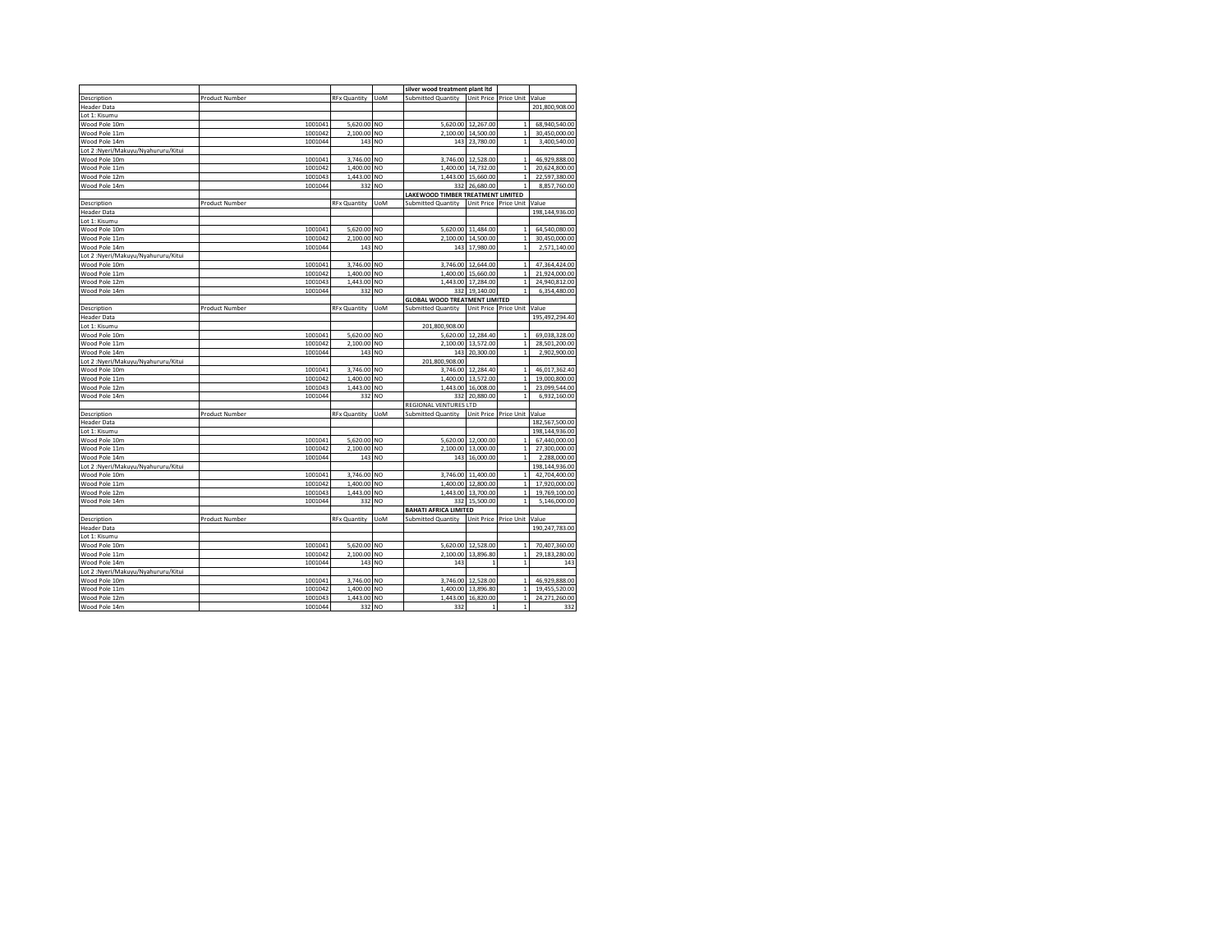|                                     |                       |                     |                | silver wood treatment plant ltd      |                    |                             |                |
|-------------------------------------|-----------------------|---------------------|----------------|--------------------------------------|--------------------|-----------------------------|----------------|
| Description                         | <b>Product Number</b> | <b>RFx Quantity</b> | UoM            | <b>Submitted Quantity</b>            | <b>Unit Price</b>  | Price Unit                  | Value          |
| <b>Header Data</b>                  |                       |                     |                |                                      |                    |                             | 201,800,908.00 |
| Lot 1: Kisumu                       |                       |                     |                |                                      |                    |                             |                |
| Wood Pole 10m                       | 1001041               | 5,620.00            | <b>NO</b>      | 5,620.00                             | 12,267.00          | $\mathbf{1}$                | 68,940,540.00  |
| Wood Pole 11m                       | 1001042               | 2,100.00            | NO             | 2,100.00                             | 14,500.00          | $\,$ 1                      | 30,450,000.00  |
| Wood Pole 14m                       | 1001044               |                     | 143 NO         |                                      | 143 23,780.00      | $\mathbf{1}$                | 3,400,540.00   |
| Lot 2: Nyeri/Makuyu/Nyahururu/Kitui |                       |                     |                |                                      |                    |                             |                |
| Wood Pole 10m                       | 1001041               | 3,746.00            | NO             |                                      | 3,746.00 12,528.00 | $\mathbf{1}$                | 46,929,888.00  |
| Wood Pole 11m                       | 1001042               | 1,400.00            | NO             | 1,400.00                             | 14,732.00          | $\,$ 1                      | 20,624,800.00  |
| Wood Pole 12m                       | 1001043               | 1,443.00            | NO             | 1,443.00                             | 15,660.00          | $\,$ 1                      | 22,597,380.00  |
| Wood Pole 14m                       | 1001044               | 332                 | NO             | 332                                  | 26,680.00          | $\mathbf{1}$                | 8,857,760.00   |
|                                     |                       |                     |                | LAKEWOOD TIMBER TREATMENT LIMITED    |                    |                             |                |
|                                     |                       |                     | UoM            |                                      | Unit Price         |                             |                |
| Description                         | <b>Product Number</b> | <b>RFx Quantity</b> |                | <b>Submitted Quantity</b>            |                    | Price Unit                  | Value          |
| <b>Header Data</b>                  |                       |                     |                |                                      |                    |                             | 198,144,936.00 |
| Lot 1: Kisumu                       |                       |                     |                |                                      |                    |                             |                |
| Wood Pole 10m                       | 1001041               | 5,620.00            | NO             | 5,620.00                             | 11,484.00          | $\mathbf 1$                 | 64,540,080.00  |
| Wood Pole 11m                       | 1001042               | 2,100.00            | N <sub>O</sub> | 2,100.00                             | 14,500.00          | $\mathbf 1$                 | 30,450,000.00  |
| Wood Pole 14m                       | 1001044               | 143                 | NO             | 143                                  | 17,980.00          | $\mathbf{1}$                | 2,571,140.00   |
| Lot 2: Nyeri/Makuyu/Nyahururu/Kitui |                       |                     |                |                                      |                    |                             |                |
| Wood Pole 10m                       | 1001041               | 3,746.00            | N <sub>O</sub> | 3,746.00                             | 12,644.00          | $\mathbf{1}$                | 47,364,424.00  |
| Wood Pole 11m                       | 1001042               | 1,400.00            | N <sub>O</sub> | 1,400.00                             | 15,660.00          | $\mathbf 1$                 | 21,924,000.00  |
| Wood Pole 12m                       | 1001043               | 1,443.00            | NO             | 1,443.00                             | 17,284.00          | $\mathbf{1}$                | 24,940,812.00  |
| Wood Pole 14m                       | 1001044               | 332                 | NO             | 332                                  | 19,140.00          | $\mathbf{1}$                | 6,354,480.00   |
|                                     |                       |                     |                | <b>GLOBAL WOOD TREATMENT LIMITED</b> |                    |                             |                |
| Description                         | <b>Product Number</b> | <b>RFx Quantity</b> | UoM            | Submitted Quantity                   |                    | Unit Price Price Unit Value |                |
| <b>Header Data</b>                  |                       |                     |                |                                      |                    |                             | 195,492,294.40 |
| Lot 1: Kisumu                       |                       |                     |                | 201,800,908.00                       |                    |                             |                |
| Wood Pole 10m                       | 1001041               | 5,620.00            | <b>NO</b>      | 5,620.00                             | 12,284.40          | $\mathbf{1}$                | 69,038,328.00  |
| Wood Pole 11m                       | 1001042               | 2,100.00            | <b>NO</b>      | 2,100.00                             | 13,572.00          | $\,$ 1                      | 28,501,200.00  |
| Wood Pole 14m                       | 1001044               | 143                 | NO             | 143                                  | 20,300.00          | $\mathbf{1}$                | 2,902,900.00   |
| Lot 2: Nyeri/Makuyu/Nyahururu/Kitui |                       |                     |                | 201,800,908.00                       |                    |                             |                |
| Wood Pole 10m                       | 1001041               | 3,746.00            | <b>NO</b>      | 3,746.00                             | 12,284.40          | $\mathbf{1}$                | 46,017,362.40  |
| Wood Pole 11m                       | 1001042               | 1,400.00            | NO             | 1,400.00                             | 13.572.00          | $\mathbf{1}$                | 19,000,800.00  |
| Wood Pole 12m                       | 1001043               | 1,443.00            | NO             | 1,443.00                             | 16,008.00          | $\,$ 1 $\,$                 | 23,099,544.00  |
| Wood Pole 14m                       | 1001044               | 332                 | <b>NO</b>      | 332                                  | 20,880.00          | $\mathbf 1$                 | 6,932,160.00   |
|                                     |                       |                     |                | REGIONAL VENTURES LTD                |                    |                             |                |
| Description                         | Product Number        | <b>RFx Quantity</b> | UoM            | <b>Submitted Quantity</b>            | Unit Price         | Price Unit                  | Value          |
| <b>Header Data</b>                  |                       |                     |                |                                      |                    |                             | 182,567,500.00 |
| Lot 1: Kisumu                       |                       |                     |                |                                      |                    |                             | 198,144,936.00 |
| Wood Pole 10m                       | 1001041               | 5,620.00            | <b>NO</b>      | 5,620.00                             | 12,000.00          | 1                           | 67,440,000.00  |
| Wood Pole 11m                       | 1001042               | 2,100.00            | NO             | 2,100.00                             | 13,000.00          | $\mathbf{1}$                | 27,300,000.00  |
| Wood Pole 14m                       | 1001044               | 143                 | NO             | 143                                  | 16,000.00          | $\mathbf 1$                 | 2,288,000.00   |
| Lot 2: Nyeri/Makuyu/Nyahururu/Kitui |                       |                     |                |                                      |                    |                             | 198,144,936.00 |
| Wood Pole 10m                       | 1001041               | 3,746.00            | NO             | 3,746.00                             | 11,400.00          | $\mathbf{1}$                | 42,704,400.00  |
| Wood Pole 11m                       | 1001042               | 1,400.00            | <b>NO</b>      | 1,400.00                             | 12,800.00          | $\,$ 1 $\,$                 | 17,920,000.00  |
| Wood Pole 12m                       | 1001043               | 1,443.00            | <b>NO</b>      | 1,443.00                             | 13,700.00          | $\,$ 1 $\,$                 | 19,769,100.00  |
| Wood Pole 14m                       | 1001044               | 332                 | NO             | 332                                  | 15,500.00          | $\mathbf{1}$                | 5,146,000.00   |
|                                     |                       |                     |                | <b>BAHATI AFRICA LIMITED</b>         |                    |                             |                |
| Description                         | Product Number        | <b>RFx Quantity</b> | <b>UoM</b>     | <b>Submitted Quantity</b>            |                    | Unit Price Price Unit       | Value          |
| <b>Header Data</b>                  |                       |                     |                |                                      |                    |                             | 190,247,783.00 |
| Lot 1: Kisumu                       |                       |                     |                |                                      |                    |                             |                |
| Wood Pole 10m                       | 1001041               | 5,620.00            | NO             | 5,620.00                             | 12,528.00          | $\mathbf{1}$                | 70,407,360.00  |
|                                     |                       |                     |                |                                      |                    |                             |                |
| Wood Pole 11m                       | 1001042               | 2,100.00            | <b>NO</b>      | 2,100.00                             | 13,896.80          | $\,$ 1 $\,$                 | 29,183,280.00  |
| Wood Pole 14m                       | 1001044               | 143                 | <b>NO</b>      | 143                                  | 1                  | $\mathbf{1}$                | 143            |
| Lot 2: Nyeri/Makuyu/Nyahururu/Kitui |                       |                     |                |                                      |                    |                             |                |
| Wood Pole 10m                       | 1001041               | 3,746.00            | N <sub>O</sub> | 3,746.00                             | 12,528.00          | $\,$ 1 $\,$                 | 46,929,888.00  |
| Wood Pole 11m                       | 1001042               | 1,400.00            | <b>NO</b>      | 1,400.00                             | 13,896.80          | $\mathbf{1}$                | 19,455,520.00  |
| Wood Pole 12m                       | 1001043               | 1,443.00            | NO             | 1,443.00                             | 16,820.00          | $\mathbf{1}$                | 24,271,260.00  |
| Wood Pole 14m                       | 1001044               |                     | 332 NO         | 332                                  | $\mathbf{1}$       | $\mathbf{1}$                | 332            |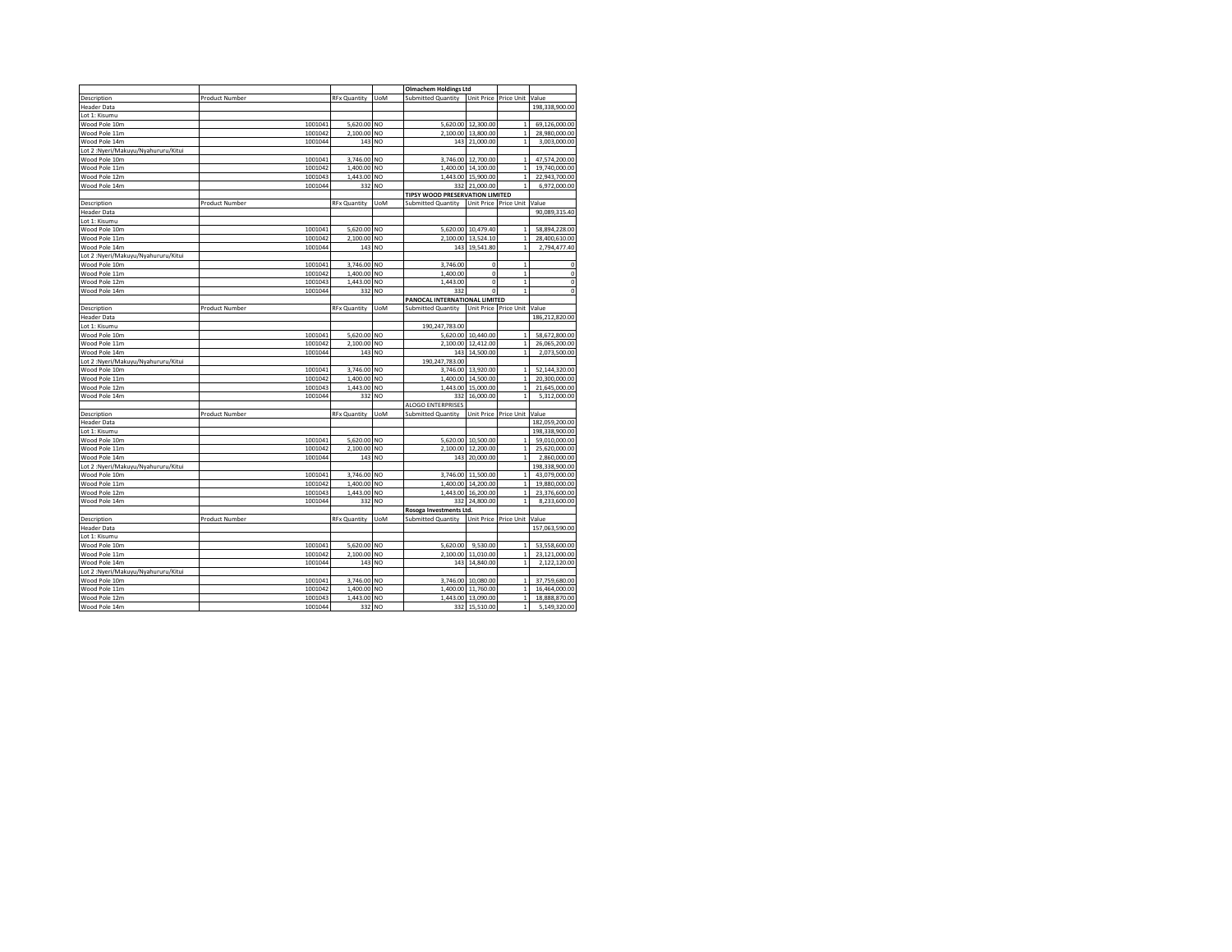|                                     |                       |                     |                | <b>Olmachem Holdings Ltd</b>    |                    |                       |                |
|-------------------------------------|-----------------------|---------------------|----------------|---------------------------------|--------------------|-----------------------|----------------|
| Description                         | Product Number        | <b>RFx Quantity</b> | <b>UoM</b>     | Submitted Quantity              | <b>Unit Price</b>  | Price Unit            | Value          |
|                                     |                       |                     |                |                                 |                    |                       |                |
| <b>Header Data</b>                  |                       |                     |                |                                 |                    |                       | 198,338,900.00 |
| Lot 1: Kisumu                       |                       |                     |                |                                 |                    |                       |                |
| Wood Pole 10m                       | 1001041               | 5,620.00 NO         |                |                                 | 5,620.00 12,300.00 | $\mathbf{1}$          | 69,126,000.00  |
| Wood Pole 11m                       | 1001042               | 2,100.00            | NO             | 2.100.00                        | 13,800.00          | $\mathbf{1}$          | 28,980,000.00  |
| Wood Pole 14m                       | 1001044               | 143                 | NO.            |                                 | 143 21,000.00      | $\mathbf{1}$          | 3,003,000.00   |
| Lot 2:Nyeri/Makuyu/Nyahururu/Kitui  |                       |                     |                |                                 |                    |                       |                |
| Wood Pole 10m                       | 1001041               | 3,746.00            | NO             | 3.746.00                        | 12,700.00          | $\mathbf{1}$          | 47,574,200.00  |
| Wood Pole 11m                       | 1001042               | 1,400.00            | <b>NO</b>      | 1,400.00                        | 14,100.00          | $\,$ 1 $\,$           | 19,740,000.00  |
| Wood Pole 12m                       | 1001043               | 1,443.00 NO         |                |                                 | 1,443.00 15,900.00 | $\mathbf{1}$          | 22,943,700.00  |
| Wood Pole 14m                       | 1001044               | 332                 | NO             | 332                             | 21,000.00          | $\mathbf{1}$          | 6,972,000.00   |
|                                     |                       |                     |                | TIPSY WOOD PRESERVATION LIMITED |                    |                       |                |
| Description                         | Product Number        | <b>RFx Quantity</b> | UoM            | Submitted Quantity              | Unit Price         | Price Unit            | Value          |
| <b>Header Data</b>                  |                       |                     |                |                                 |                    |                       | 90,089,315.40  |
| Lot 1: Kisumu                       |                       |                     |                |                                 |                    |                       |                |
| Wood Pole 10m                       | 1001041               | 5,620.00            | NO             | 5,620.00                        | 10,479.40          | $\,1\,$               | 58,894,228.00  |
| Wood Pole 11m                       | 1001042               | 2,100.00            | N <sub>O</sub> | 2,100.00                        | 13,524.10          | $\,$ 1 $\,$           | 28,400,610.00  |
| Wood Pole 14m                       | 1001044               | 143                 | NO             | 143                             | 19,541.80          | $\mathbf{1}$          | 2,794,477.40   |
| Lot 2: Nyeri/Makuyu/Nyahururu/Kitui |                       |                     |                |                                 |                    |                       |                |
| Wood Pole 10m                       | 1001041               | 3,746.00            | NO             | 3,746.00                        | $\theta$           | $\mathbf{1}$          | 0              |
| Wood Pole 11m                       | 1001042               | 1,400.00            | N <sub>O</sub> | 1,400.00                        | $\theta$           | $\mathbf{1}$          | $\mathbf 0$    |
| Wood Pole 12m                       | 1001043               | 1,443.00            | NO             | 1,443.00                        | $\mathbf 0$        | $\mathbf 1$           | $\bf{0}$       |
|                                     |                       |                     |                |                                 | $\mathbf 0$        |                       | $\mathbf{0}$   |
| Wood Pole 14m                       | 1001044               | 332                 | NO             | 332                             |                    | $\,$ 1 $\,$           |                |
|                                     |                       |                     |                | PANOCAL INTERNATIONAL LIMITED   |                    |                       |                |
| Description                         | <b>Product Number</b> | <b>RFx Quantity</b> | UoM            | <b>Submitted Quantity</b>       |                    | Unit Price Price Unit | Value          |
| <b>Header Data</b>                  |                       |                     |                |                                 |                    |                       | 186,212,820.00 |
| Lot 1: Kisumu                       |                       |                     |                | 190,247,783.00                  |                    |                       |                |
| Wood Pole 10m                       | 1001041               | 5,620.00            | NO             | 5,620.00                        | 10,440.00          | $\,$ 1 $\,$           | 58,672,800.00  |
| Wood Pole 11m                       | 1001042               | 2,100.00 NO         |                |                                 | 2,100.00 12,412.00 | $\,$ 1                | 26,065,200.00  |
| Wood Pole 14m                       | 1001044               | 143                 | NO             | 143                             | 14,500.00          | $\mathbf{1}$          | 2,073,500.00   |
| Lot 2: Nyeri/Makuyu/Nyahururu/Kitui |                       |                     |                | 190,247,783.00                  |                    |                       |                |
| Wood Pole 10m                       | 1001041               | 3,746.00            | NO             | 3,746.00                        | 13,920.00          | $\mathbf{1}$          | 52,144,320.00  |
| Wood Pole 11m                       | 1001042               | 1,400.00            | NO             | 1,400.00                        | 14,500.00          | $\mathbf{1}$          | 20,300,000.00  |
| Wood Pole 12m                       | 1001043               | 1,443.00            | NO             | 1,443.00                        | 15,000.00          | $\mathbf{1}$          | 21,645,000.00  |
| Wood Pole 14m                       | 1001044               | 332                 | NO             | 332                             | 16,000.00          | $\mathbf{1}$          | 5,312,000.00   |
|                                     |                       |                     |                | ALOGO ENTERPRISES               |                    |                       |                |
| Description                         | Product Number        | <b>RFx Quantity</b> | <b>UoM</b>     | Submitted Quantity              | <b>Unit Price</b>  | Price Unit            | Value          |
| <b>Header Data</b>                  |                       |                     |                |                                 |                    |                       | 182,059,200.00 |
| Lot 1: Kisumu                       |                       |                     |                |                                 |                    |                       | 198,338,900.00 |
| Wood Pole 10m                       | 1001041               | 5,620.00            | <b>NO</b>      | 5,620.00                        | 10,500.00          | $\mathbf 1$           | 59,010,000.00  |
|                                     |                       | 2,100.00            |                | 2,100.00                        | 12,200.00          | $\mathbf{1}$          |                |
| Wood Pole 11m                       | 1001042               |                     | NO             |                                 |                    | $\mathbf{1}$          | 25,620,000.00  |
| Wood Pole 14m                       | 1001044               | 143                 | NO             | 143                             | 20,000.00          |                       | 2,860,000.00   |
| Lot 2: Nyeri/Makuyu/Nyahururu/Kitui |                       |                     |                |                                 |                    |                       | 198,338,900.00 |
| Wood Pole 10m                       | 1001041               | 3,746.00            | NO             | 3,746.00                        | 11,500.00          | $\mathbf{1}$          | 43,079,000.00  |
| Wood Pole 11m                       | 1001042               | 1,400.00            | NO             | 1,400.00                        | 14,200.00          | $\mathbf{1}$          | 19,880,000.00  |
| Wood Pole 12m                       | 1001043               | 1,443.00            | <b>NO</b>      | 1,443.00                        | 16,200.00          | $\,$ 1                | 23,376,600.00  |
| Wood Pole 14m                       | 1001044               | 332                 | NO             | 332                             | 24,800.00          | $\mathbf{1}$          | 8,233,600.00   |
|                                     |                       |                     |                | Rosoga Investments Ltd.         |                    |                       |                |
| Description                         | Product Number        | <b>RFx Quantity</b> | UoM            | <b>Submitted Quantity</b>       |                    | Unit Price Price Unit | Value          |
| <b>Header Data</b>                  |                       |                     |                |                                 |                    |                       | 157,063,590.00 |
| Lot 1: Kisumu                       |                       |                     |                |                                 |                    |                       |                |
| Wood Pole 10m                       | 1001041               | 5,620.00            | NO             | 5,620.00                        | 9,530.00           | $\mathbf{1}$          | 53,558,600.00  |
| Wood Pole 11m                       | 1001042               | 2,100.00            | NO             | 2,100.00                        | 11,010.00          | $\,$ 1                | 23,121,000.00  |
| Wood Pole 14m                       | 1001044               | 143                 | <b>NO</b>      | 143                             | 14,840.00          | $\mathbf{1}$          | 2,122,120.00   |
| Lot 2: Nyeri/Makuyu/Nyahururu/Kitui |                       |                     |                |                                 |                    |                       |                |
| Wood Pole 10m                       | 1001041               | 3,746.00            | N <sub>O</sub> | 3,746.00                        | 10,080.00          | $\mathbf{1}$          | 37,759,680.00  |
| Wood Pole 11m                       | 1001042               | 1,400.00            | <b>NO</b>      | 1,400.00                        | 11,760.00          | $\mathbf{1}$          | 16,464,000.00  |
| Wood Pole 12m                       | 1001043               | 1,443.00            | NO             | 1.443.00                        | 13,090.00          | $\mathbf{1}$          | 18,888,870.00  |
|                                     |                       |                     |                |                                 |                    |                       |                |
| Wood Pole 14m                       | 1001044               |                     | 332 NO         |                                 | 332 15,510.00      | $\mathbf 1$           | 5,149,320.00   |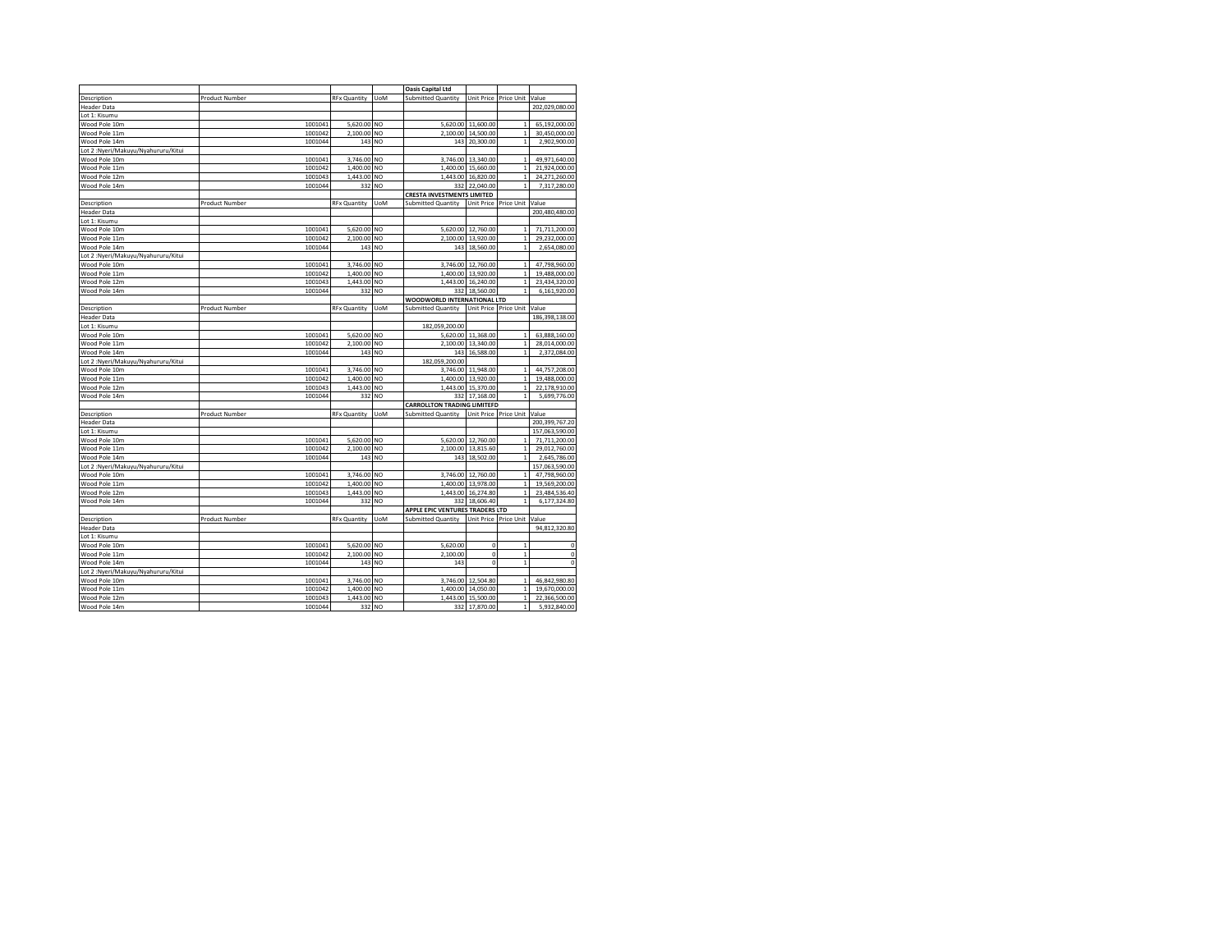|                                                     |                       |                     |                | <b>Oasis Capital Ltd</b>           |                    |                       |                |
|-----------------------------------------------------|-----------------------|---------------------|----------------|------------------------------------|--------------------|-----------------------|----------------|
| Description                                         | <b>Product Number</b> | <b>RFx Quantity</b> | <b>UoM</b>     | <b>Submitted Quantity</b>          | Unit Price         | Price Unit            | Value          |
| <b>Header Data</b>                                  |                       |                     |                |                                    |                    |                       | 202,029,080.00 |
| Lot 1: Kisumu                                       |                       |                     |                |                                    |                    |                       |                |
| Wood Pole 10m                                       | 1001041               | 5,620.00            | NO             |                                    | 5,620.00 11,600.00 | $\mathbf{1}$          | 65,192,000.00  |
| Wood Pole 11m                                       | 1001042               | 2,100.00            | N <sub>O</sub> |                                    | 2,100.00 14,500.00 | $\,$ 1                | 30,450,000.00  |
| Wood Pole 14m                                       | 1001044               |                     | 143 NO         |                                    | 143 20,300.00      | $\mathbf{1}$          | 2,902,900.00   |
|                                                     |                       |                     |                |                                    |                    |                       |                |
| Lot 2:Nyeri/Makuyu/Nyahururu/Kitui<br>Wood Pole 10m | 1001041               | 3,746.00            | N <sub>O</sub> |                                    | 3,746.00 13,340.00 | $\,$ 1                | 49,971,640.00  |
| Wood Pole 11m                                       |                       | 1,400.00            | N <sub>O</sub> | 1,400.00                           | 15,660.00          | $\,$ 1                | 21,924,000.00  |
|                                                     | 1001042               |                     |                |                                    |                    | $\mathbf{1}$          |                |
| Wood Pole 12m                                       | 1001043               | 1,443.00            | N <sub>O</sub> |                                    | 1,443.00 16,820.00 | $\mathbf{1}$          | 24,271,260.00  |
| Wood Pole 14m                                       | 1001044               | 332                 | NO             | 332                                | 22,040.00          |                       | 7,317,280.00   |
|                                                     |                       |                     |                | CRESTA INVESTMENTS LIMITED         |                    |                       |                |
| Description                                         | Product Number        | <b>RFx Quantity</b> | <b>UoM</b>     | <b>Submitted Quantity</b>          | Unit Price         | Price Unit            | Value          |
| <b>Header Data</b>                                  |                       |                     |                |                                    |                    |                       | 200,480,480.00 |
| Lot 1: Kisumu                                       |                       |                     |                |                                    |                    |                       |                |
| Wood Pole 10m                                       | 1001041               | 5,620.00            | NO             | 5,620.00                           | 12,760.00          | $\mathbf 1$           | 71,711,200.00  |
| Wood Pole 11m                                       | 1001042               | 2,100.00            | N <sub>O</sub> | 2,100.00                           | 13,920.00          | $\mathbf 1$           | 29,232,000.00  |
| Wood Pole 14m                                       | 1001044               | 143                 | N <sub>O</sub> | 143                                | 18,560.00          | $\mathbf{1}$          | 2,654,080.00   |
| Lot 2: Nyeri/Makuyu/Nyahururu/Kitui                 |                       |                     |                |                                    |                    |                       |                |
| Wood Pole 10m                                       | 1001041               | 3,746.00            | NO             | 3,746.00                           | 12,760.00          | $\mathbf{1}$          | 47,798,960.00  |
| Wood Pole 11m                                       | 1001042               | 1,400.00            | NO             | 1,400.00                           | 13,920.00          | $\mathbf 1$           | 19,488,000.00  |
| Wood Pole 12m                                       | 1001043               | 1,443.00            | N <sub>O</sub> |                                    | 1,443.00 16,240.00 | $\mathbf{1}$          | 23,434,320.00  |
| Wood Pole 14m                                       | 1001044               | 332                 | NO             | 332                                | 18,560.00          | $\mathbf{1}$          | 6,161,920.00   |
|                                                     |                       |                     |                | WOODWORLD INTERNATIONAL LTD        |                    |                       |                |
| Description                                         | Product Number        | <b>RFx Quantity</b> | <b>UoM</b>     | Submitted Quantity                 |                    | Unit Price Price Unit | Value          |
| <b>Header Data</b>                                  |                       |                     |                |                                    |                    |                       | 186,398,138.00 |
| Lot 1: Kisumu                                       |                       |                     |                | 182,059,200.00                     |                    |                       |                |
| Wood Pole 10m                                       | 1001041               | 5,620.00            | N <sub>O</sub> |                                    | 5,620.00 11,368.00 | $\mathbf{1}$          | 63,888,160.00  |
| Wood Pole 11m                                       | 1001042               | 2,100.00            | NO             | 2,100.00                           | 13,340.00          | $\,$ 1                | 28,014,000.00  |
| Wood Pole 14m                                       | 1001044               | 143                 | N <sub>O</sub> | 143                                | 16,588.00          | $\mathbf{1}$          | 2,372,084.00   |
| Lot 2: Nyeri/Makuyu/Nyahururu/Kitui                 |                       |                     |                | 182,059,200.00                     |                    |                       |                |
| Wood Pole 10m                                       | 1001041               | 3,746.00            | NO             | 3,746.00                           | 11,948.00          | $\mathbf{1}$          | 44,757,208.00  |
| Wood Pole 11m                                       | 1001042               | 1,400.00            | NO             | 1,400.00                           | 13,920.00          | $\mathbf{1}$          | 19,488,000.00  |
| Wood Pole 12m                                       | 1001043               | 1,443.00            | NO             |                                    | 1,443.00 15,370.00 | $\,$ 1                | 22,178,910.00  |
| Wood Pole 14m                                       | 1001044               | 332                 | NO             | 332                                | 17,168.00          | $\mathbf 1$           | 5,699,776.00   |
|                                                     |                       |                     |                | <b>CARROLLTON TRADING LIMITEFD</b> |                    |                       |                |
| Description                                         | Product Number        | <b>RFx Quantity</b> | <b>UoM</b>     | Submitted Quantity                 | Unit Price         | Price Unit            | Value          |
| <b>Header Data</b>                                  |                       |                     |                |                                    |                    |                       | 200,399,767.20 |
|                                                     |                       |                     |                |                                    |                    |                       | 157,063,590.00 |
| Lot 1: Kisumu                                       |                       |                     |                |                                    |                    |                       |                |
| Wood Pole 10m                                       | 1001041               | 5,620.00            | N <sub>O</sub> |                                    | 5,620.00 12,760.00 | 1                     | 71,711,200.00  |
| Wood Pole 11m                                       | 1001042               | 2,100.00            | N <sub>O</sub> | 2,100.00                           | 13,815.60          | $\mathbf{1}$          | 29,012,760.00  |
| Wood Pole 14m                                       | 1001044               | 143                 | N <sub>O</sub> | 143                                | 18,502.00          | $\mathbf{1}$          | 2,645,786.00   |
| Lot 2:Nyeri/Makuyu/Nyahururu/Kitui                  |                       |                     |                |                                    |                    |                       | 157,063,590.00 |
| Wood Pole 10m                                       | 1001041               | 3,746.00            | N <sub>O</sub> | 3,746.00                           | 12,760.00          | $\mathbf{1}$          | 47,798,960.00  |
| Wood Pole 11m                                       | 1001042               | 1,400.00            | NO             | 1,400.00                           | 13,978.00          | $\,$ 1                | 19,569,200.00  |
| Wood Pole 12m                                       | 1001043               | 1,443.00            | <b>NO</b>      | 1,443.00                           | 16,274.80          | $\,$ 1                | 23,484,536.40  |
| Wood Pole 14m                                       | 1001044               | 332                 | NO             | 332                                | 18,606.40          | $\mathbf{1}$          | 6,177,324.80   |
|                                                     |                       |                     |                | APPLE EPIC VENTURES TRADERS LTD    |                    |                       |                |
| Description                                         | Product Number        | <b>RFx Quantity</b> | UoM            | Submitted Quantity                 | <b>Unit Price</b>  | Price Unit            | Value          |
| <b>Header Data</b>                                  |                       |                     |                |                                    |                    |                       | 94,812,320.80  |
| Lot 1: Kisumu                                       |                       |                     |                |                                    |                    |                       |                |
| Wood Pole 10m                                       | 1001041               | 5,620.00            | N <sub>O</sub> | 5,620.00                           | $\circ$            | $\mathbf{1}$          | 0              |
| Wood Pole 11m                                       | 1001042               | 2,100.00            | <b>NO</b>      | 2,100.00                           | 0                  | $\,$ 1                | 0              |
| Wood Pole 14m                                       | 1001044               | 143                 | NO             | 143                                | $\mathbf 0$        | $\mathbf 1$           | $\mathbf{0}$   |
| Lot 2: Nyeri/Makuyu/Nyahururu/Kitui                 |                       |                     |                |                                    |                    |                       |                |
| Wood Pole 10m                                       | 1001041               | 3,746.00            | NO             | 3,746.00                           | 12,504.80          | $\,$ 1                | 46,842,980.80  |
| Wood Pole 11m                                       | 1001042               | 1,400.00            | <b>NO</b>      |                                    | 1,400.00 14,050.00 | $\mathbf{1}$          | 19,670,000.00  |
| Wood Pole 12m                                       | 1001043               | 1,443.00            | N <sub>O</sub> | 1.443.00                           | 15,500.00          | $\mathbf{1}$          | 22,366,500.00  |
| Wood Pole 14m                                       | 1001044               | 332                 | N <sub>O</sub> |                                    | 332 17,870.00      | $\,$ 1                | 5,932,840.00   |
|                                                     |                       |                     |                |                                    |                    |                       |                |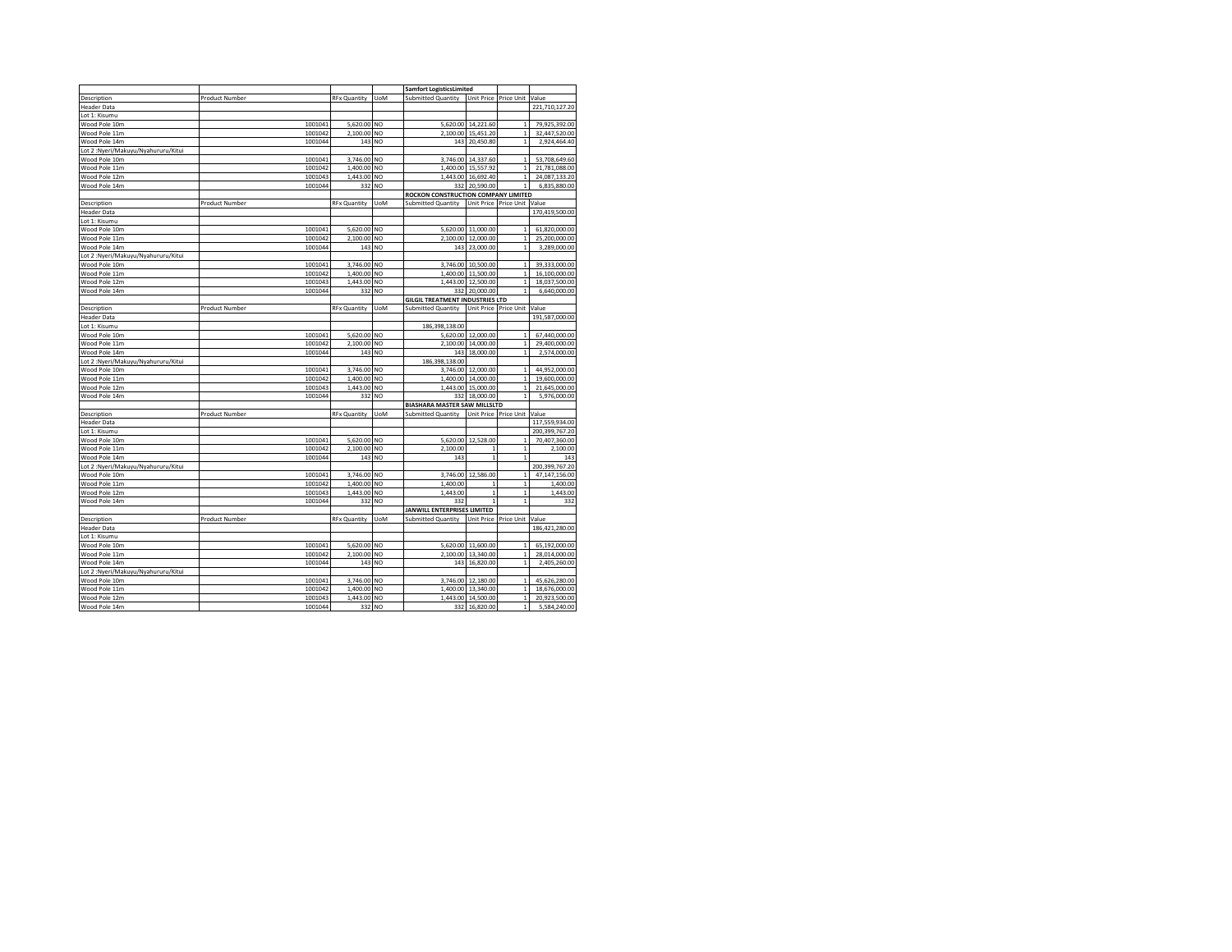|                                     |                       |                     |                | <b>Samfort LogisticsLimited</b>        |                                 |                             |                |
|-------------------------------------|-----------------------|---------------------|----------------|----------------------------------------|---------------------------------|-----------------------------|----------------|
| Description                         | <b>Product Number</b> | <b>RFx Quantity</b> | <b>UoM</b>     | <b>Submitted Quantity</b>              | Unit Price                      | Price Unit                  | Value          |
| <b>Header Data</b>                  |                       |                     |                |                                        |                                 |                             | 221,710,127.20 |
| Lot 1: Kisumu                       |                       |                     |                |                                        |                                 |                             |                |
| Wood Pole 10m                       | 1001041               | 5,620.00 NO         |                |                                        | 5,620.00 14,221.60              | $\mathbf{1}$                | 79,925,392.00  |
| Wood Pole 11m                       | 1001042               | 2,100.00 NO         |                |                                        | 2,100.00 15,451.20              | $\mathbf 1$                 | 32,447,520.00  |
| Wood Pole 14m                       | 1001044               | 143 NO              |                |                                        | 143 20,450.80                   | $\mathbf{1}$                | 2,924,464.40   |
| Lot 2:Nyeri/Makuyu/Nyahururu/Kitui  |                       |                     |                |                                        |                                 |                             |                |
| Wood Pole 10m                       | 1001041               | 3,746.00 NO         |                |                                        | 3,746.00 14,337.60              | $\mathbf{1}$                | 53,708,649.60  |
| Wood Pole 11m                       | 1001042               | 1,400.00            | N <sub>O</sub> |                                        | 1,400.00 15,557.92              | $\mathbf 1$                 | 21,781,088.00  |
| Wood Pole 12m                       |                       |                     | N <sub>O</sub> |                                        |                                 | $\mathbf{1}$                | 24,087,133.20  |
|                                     | 1001043               | 1,443.00<br>332     |                | 332                                    | 1,443.00 16,692.40<br>20,590.00 | $\mathbf{1}$                |                |
| Wood Pole 14m                       | 1001044               |                     | NO             |                                        |                                 |                             | 6,835,880.00   |
|                                     |                       |                     |                | ROCKON CONSTRUCTION COMPANY LIMITED    |                                 |                             |                |
| Description                         | <b>Product Number</b> | <b>RFx Quantity</b> | <b>UoM</b>     | <b>Submitted Quantity</b>              | Unit Price                      | Price Unit Value            |                |
| <b>Header Data</b>                  |                       |                     |                |                                        |                                 |                             | 170,419,500.00 |
| Lot 1: Kisumu                       |                       |                     |                |                                        |                                 |                             |                |
| Wood Pole 10m                       | 1001041               | 5,620.00            | N <sub>O</sub> | 5,620.00                               | 11,000.00                       | $\mathbf 1$                 | 61,820,000.00  |
| Wood Pole 11m                       | 1001042               | 2,100.00 NO         |                | 2,100.00                               | 12,000.00                       | $\,1\,$                     | 25,200,000.00  |
| Wood Pole 14m                       | 1001044               | 143                 | NO             | 143                                    | 23,000.00                       | $\mathbf{1}$                | 3,289,000.00   |
| Lot 2: Nyeri/Makuyu/Nyahururu/Kitui |                       |                     |                |                                        |                                 |                             |                |
| Wood Pole 10m                       | 1001041               | 3,746.00            | <b>NO</b>      | 3,746.00                               | 10,500.00                       | $\mathbf 1$                 | 39,333,000.00  |
| Wood Pole 11m                       | 1001042               | 1,400.00            | <b>NO</b>      | 1,400.00                               | 11,500.00                       | $\mathbf 1$                 | 16,100,000.00  |
| Wood Pole 12m                       | 1001043               | 1,443.00            | N <sub>O</sub> |                                        | 1,443.00 12,500.00              | $\mathbf{1}$                | 18,037,500.00  |
| Wood Pole 14m                       | 1001044               | 332                 | <b>NO</b>      | 332                                    | 20,000.00                       | $\mathbf{1}$                | 6,640,000.00   |
|                                     |                       |                     |                | <b>GILGIL TREATMENT INDUSTRIES LTD</b> |                                 |                             |                |
| Description                         | Product Number        | <b>RFx Quantity</b> | <b>UoM</b>     | Submitted Quantity                     |                                 | Unit Price Price Unit Value |                |
| <b>Header Data</b>                  |                       |                     |                |                                        |                                 |                             | 191,587,000.00 |
| Lot 1: Kisumu                       |                       |                     |                | 186,398,138.00                         |                                 |                             |                |
| Wood Pole 10m                       | 1001041               | 5,620.00 NO         |                |                                        | 5,620.00 12,000.00              | $\,$ 1                      | 67,440,000.00  |
| Wood Pole 11m                       | 1001042               | 2,100.00            | N <sub>O</sub> | 2,100.00                               | 14,000.00                       | $\mathbf 1$                 | 29,400,000.00  |
| Wood Pole 14m                       | 1001044               | 143                 | <b>NO</b>      | 143                                    |                                 | $\mathbf{1}$                |                |
|                                     |                       |                     |                |                                        | 18,000.00                       |                             | 2,574,000.00   |
| Lot 2: Nyeri/Makuyu/Nyahururu/Kitui |                       |                     |                | 186,398,138.00                         |                                 |                             |                |
| Wood Pole 10m                       | 1001041               | 3,746.00            | N <sub>O</sub> | 3,746.00                               | 12,000.00                       | $\mathbf{1}$                | 44,952,000.00  |
| Wood Pole 11m                       | 1001042               | 1,400.00            | NO             | 1,400.00                               | 14,000.00                       | $\mathbf{1}$                | 19,600,000.00  |
| Wood Pole 12m                       | 1001043               | 1,443.00            | <b>NO</b>      | 1,443.00                               | 15,000.00                       | $\mathbf 1$                 | 21,645,000.00  |
| Wood Pole 14m                       | 1001044               | 332                 | N <sub>O</sub> | 332                                    | 18,000.00                       | $\mathbf 1$                 | 5,976,000.00   |
|                                     |                       |                     |                | <b>BIASHARA MASTER SAW MILLSLTD</b>    |                                 |                             |                |
| Description                         | Product Number        | <b>RFx Quantity</b> | <b>UoM</b>     | Submitted Quantity                     |                                 | Unit Price Price Unit Value |                |
| <b>Header Data</b>                  |                       |                     |                |                                        |                                 |                             | 117,559,934.00 |
| Lot 1: Kisumu                       |                       |                     |                |                                        |                                 |                             | 200,399,767.20 |
| Wood Pole 10m                       | 1001041               | 5,620.00 NO         |                |                                        | 5,620.00 12,528.00              | $\mathbf{1}$                | 70,407,360.00  |
| Wood Pole 11m                       | 1001042               | 2,100.00 NO         |                | 2,100.00                               | $\mathbf{1}$                    | $\mathbf 1$                 | 2,100.00       |
| Wood Pole 14m                       | 1001044               | 143 NO              |                | 143                                    | 1                               | $\mathbf{1}$                | 143            |
| Lot 2:Nyeri/Makuyu/Nyahururu/Kitui  |                       |                     |                |                                        |                                 |                             | 200,399,767.20 |
| Wood Pole 10m                       | 1001041               | 3,746.00 NO         |                | 3,746.00                               | 12,586.00                       | $\mathbf 1$                 | 47,147,156.00  |
| Wood Pole 11m                       | 1001042               | 1,400.00            | NO             | 1,400.00                               | $\mathbf{1}$                    | $\,$ 1                      | 1,400.00       |
| Wood Pole 12m                       | 1001043               | 1,443.00            | <b>NO</b>      | 1,443.00                               | $\mathbf{1}$                    | $\,$ 1                      | 1,443.00       |
| Wood Pole 14m                       | 1001044               | 332                 | NO             | 332                                    | 1                               | $\mathbf{1}$                | 332            |
|                                     |                       |                     |                | <b>JANWILL ENTERPRISES LIMITED</b>     |                                 |                             |                |
| Description                         | <b>Product Number</b> | <b>RFx Quantity</b> | <b>UoM</b>     | Submitted Quantity                     |                                 | Unit Price Price Unit Value |                |
|                                     |                       |                     |                |                                        |                                 |                             |                |
| <b>Header Data</b>                  |                       |                     |                |                                        |                                 |                             | 186,421,280.00 |
| Lot 1: Kisumu                       |                       |                     |                |                                        |                                 |                             |                |
| Wood Pole 10m                       | 1001041               | 5,620.00            | N <sub>O</sub> | 5.620.00                               | 11,600.00                       | $\mathbf{1}$                | 65,192,000.00  |
| Wood Pole 11m                       | 1001042               | 2,100.00 NO         |                | 2,100.00                               | 13,340.00                       | $\mathbf 1$                 | 28,014,000.00  |
| Wood Pole 14m                       | 1001044               | 143                 | NO             | 143                                    | 16,820.00                       | $\mathbf{1}$                | 2,405,260.00   |
| Lot 2: Nyeri/Makuyu/Nyahururu/Kitui |                       |                     |                |                                        |                                 |                             |                |
| Wood Pole 10m                       | 1001041               | 3,746.00            | N <sub>O</sub> | 3,746.00                               | 12,180.00                       | $\mathbf 1$                 | 45,626,280.00  |
| Wood Pole 11m                       | 1001042               | 1,400.00 NO         |                |                                        | 1,400.00 13,340.00              | $\,1\,$                     | 18,676,000.00  |
|                                     |                       |                     |                |                                        |                                 |                             |                |
| Wood Pole 12m                       | 1001043               | 1,443.00            | N <sub>O</sub> | 1.443.00                               | 14,500.00                       | $\mathbf 1$                 | 20,923,500.00  |